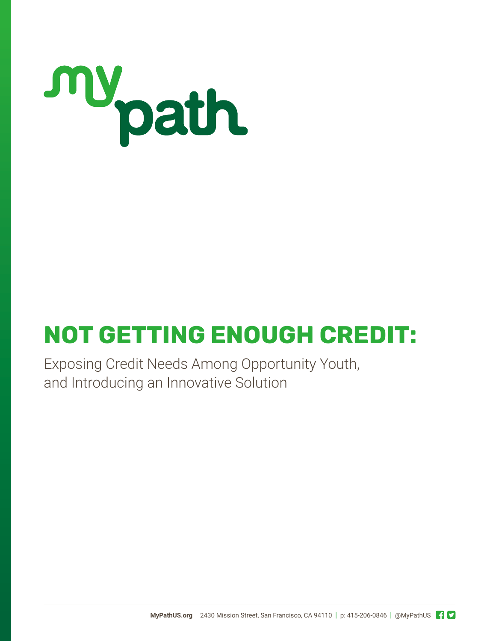

# **NOT GETTING ENOUGH CREDIT:**

Exposing Credit Needs Among Opportunity Youth, and Introducing an Innovative Solution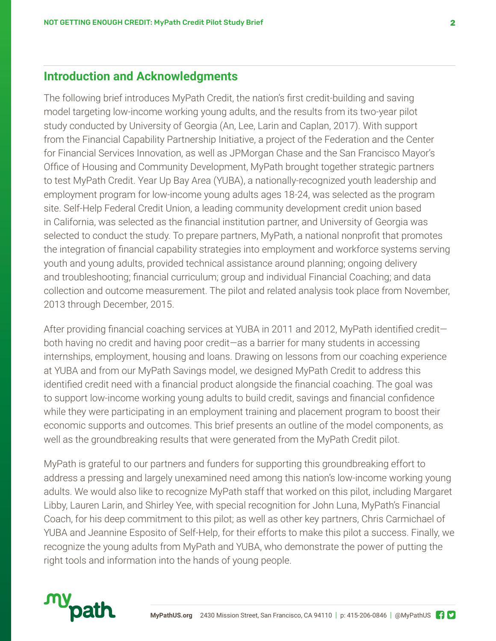## **Introduction and Acknowledgments**

The following brief introduces MyPath Credit, the nation's first credit-building and saving model targeting low-income working young adults, and the results from its two-year pilot study conducted by University of Georgia (An, Lee, Larin and Caplan, 2017). With support from the Financial Capability Partnership Initiative, a project of the Federation and the Center for Financial Services Innovation, as well as JPMorgan Chase and the San Francisco Mayor's Office of Housing and Community Development, MyPath brought together strategic partners to test MyPath Credit. Year Up Bay Area (YUBA), a nationally-recognized youth leadership and employment program for low-income young adults ages 18-24, was selected as the program site. Self-Help Federal Credit Union, a leading community development credit union based in California, was selected as the financial institution partner, and University of Georgia was selected to conduct the study. To prepare partners, MyPath, a national nonprofit that promotes the integration of financial capability strategies into employment and workforce systems serving youth and young adults, provided technical assistance around planning; ongoing delivery and troubleshooting; financial curriculum; group and individual Financial Coaching; and data collection and outcome measurement. The pilot and related analysis took place from November, 2013 through December, 2015.

After providing financial coaching services at YUBA in 2011 and 2012, MyPath identified credit both having no credit and having poor credit—as a barrier for many students in accessing internships, employment, housing and loans. Drawing on lessons from our coaching experience at YUBA and from our MyPath Savings model, we designed MyPath Credit to address this identified credit need with a financial product alongside the financial coaching. The goal was to support low-income working young adults to build credit, savings and financial confidence while they were participating in an employment training and placement program to boost their economic supports and outcomes. This brief presents an outline of the model components, as well as the groundbreaking results that were generated from the MyPath Credit pilot.

MyPath is grateful to our partners and funders for supporting this groundbreaking effort to address a pressing and largely unexamined need among this nation's low-income working young adults. We would also like to recognize MyPath staff that worked on this pilot, including Margaret Libby, Lauren Larin, and Shirley Yee, with special recognition for John Luna, MyPath's Financial Coach, for his deep commitment to this pilot; as well as other key partners, Chris Carmichael of YUBA and Jeannine Esposito of Self-Help, for their efforts to make this pilot a success. Finally, we recognize the young adults from MyPath and YUBA, who demonstrate the power of putting the right tools and information into the hands of young people.

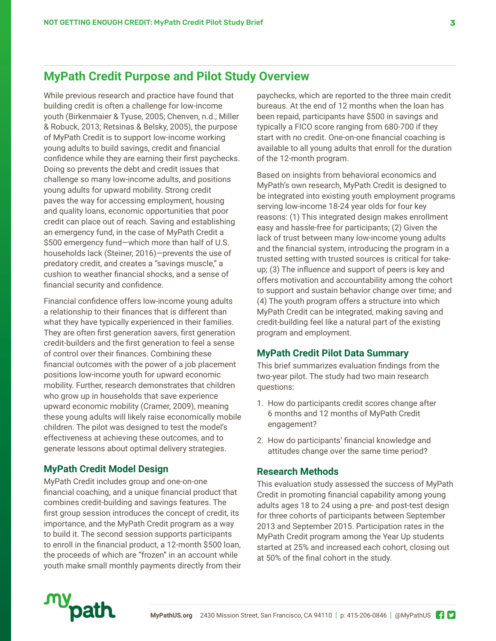## **MyPath Credit Purpose and Pilot Study Overview**

While previous research and practice have found that building credit is often a challenge for low-income youth (Birkenmaier & Tyuse, 2005; Chenven, n.d.; Miller & Robuck, 2013; Retsinas & Belsky, 2005), the purpose of MyPath Credit is to support low-income working young adults to build savings, credit and financial confidence while they are earning their first paychecks. Doing so prevents the debt and credit issues that challenge so many low-income adults, and positions young adults for upward mobility. Strong credit paves the way for accessing employment, housing and quality loans, economic opportunities that poor credit can place out of reach. Saving and establishing an emergency fund, in the case of MyPath Credit a \$500 emergency fund—which more than half of U.S. households lack (Steiner, 2016)—prevents the use of predatory credit, and creates a "savings muscle," a cushion to weather financial shocks, and a sense of financial security and confidence.

Financial confidence offers low-income young adults a relationship to their finances that is different than what they have typically experienced in their families. They are often first generation savers, first generation credit-builders and the first generation to feel a sense of control over their finances. Combining these financial outcomes with the power of a job placement positions low-income youth for upward economic mobility. Further, research demonstrates that children who grow up in households that save experience upward economic mobility (Cramer, 2009), meaning these young adults will likely raise economically mobile children. The pilot was designed to test the model's effectiveness at achieving these outcomes, and to generate lessons about optimal delivery strategies.

#### **MyPath Credit Model Design**

MyPath Credit includes group and one-on-one financial coaching, and a unique financial product that combines credit-building and savings features. The first group session introduces the concept of credit, its importance, and the MyPath Credit program as a way to build it. The second session supports participants to enroll in the financial product, a 12-month \$500 loan, the proceeds of which are "frozen" in an account while youth make small monthly payments directly from their

paychecks, which are reported to the three main credit bureaus. At the end of 12 months when the loan has been repaid, participants have \$500 in savings and typically a FICO score ranging from 680-700 if they start with no credit. One-on-one financial coaching is available to all young adults that enroll for the duration of the 12-month program.

Based on insights from behavioral economics and MyPath's own research, MyPath Credit is designed to be integrated into existing youth employment programs serving low-income 18-24 year olds for four key reasons: (1) This integrated design makes enrollment easy and hassle-free for participants; (2) Given the lack of trust between many low-income young adults and the financial system, introducing the program in a trusted setting with trusted sources is critical for takeup; (3) The influence and support of peers is key and offers motivation and accountability among the cohort to support and sustain behavior change over time; and (4) The youth program offers a structure into which MyPath Credit can be integrated, making saving and credit-building feel like a natural part of the existing program and employment.

#### **MyPath Credit Pilot Data Summary**

This brief summarizes evaluation findings from the two-year pilot. The study had two main research questions:

- 1. How do participants credit scores change after 6 months and 12 months of MyPath Credit engagement?
- 2. How do participants' financial knowledge and attitudes change over the same time period?

#### **Research Methods**

This evaluation study assessed the success of MyPath Credit in promoting financial capability among young adults ages 18 to 24 using a pre- and post-test design for three cohorts of participants between September 2013 and September 2015. Participation rates in the MyPath Credit program among the Year Up students started at 25% and increased each cohort, closing out at 50% of the final cohort in the study.

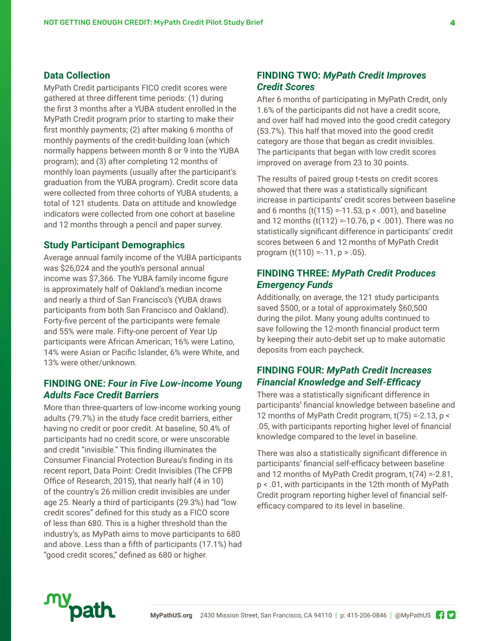#### **Data Collection**

MyPath Credit participants FICO credit scores were gathered at three different time periods: (1) during the first 3 months after a YUBA student enrolled in the MyPath Credit program prior to starting to make their first monthly payments; (2) after making 6 months of monthly payments of the credit-building loan (which normally happens between month 8 or 9 into the YUBA program); and (3) after completing 12 months of monthly loan payments (usually after the participant's graduation from the YUBA program). Credit score data were collected from three cohorts of YUBA students, a total of 121 students. Data on attitude and knowledge indicators were collected from one cohort at baseline and 12 months through a pencil and paper survey.

#### **Study Participant Demographics**

Average annual family income of the YUBA participants was \$26,024 and the youth's personal annual income was \$7,366. The YUBA family income figure is approximately half of Oakland's median income and nearly a third of San Francisco's (YUBA draws participants from both San Francisco and Oakland). Forty-five percent of the participants were female and 55% were male. Fifty-one percent of Year Up participants were African American; 16% were Latino, 14% were Asian or Pacific Islander, 6% were White, and 13% were other/unknown.

#### **FINDING ONE:** *Four in Five Low-income Young Adults Face Credit Barriers*

More than three-quarters of low-income working young adults (79.7%) in the study face credit barriers, either having no credit or poor credit. At baseline, 50.4% of participants had no credit score, or were unscorable and credit "invisible." This finding illuminates the Consumer Financial Protection Bureau's finding in its recent report, Data Point: Credit Invisibles (The CFPB Office of Research, 2015), that nearly half (4 in 10) of the country's 26 million credit invisibles are under age 25. Nearly a third of participants (29.3%) had "low credit scores" defined for this study as a FICO score of less than 680. This is a higher threshold than the industry's, as MyPath aims to move participants to 680 and above. Less than a fifth of participants (17.1%) had "good credit scores," defined as 680 or higher.

### **FINDING TWO:** *MyPath Credit Improves Credit Scores*

After 6 months of participating in MyPath Credit, only 1.6% of the participants did not have a credit score, and over half had moved into the good credit category (53.7%). This half that moved into the good credit category are those that began as credit invisibles. The participants that began with low credit scores improved on average from 23 to 30 points.

The results of paired group t-tests on credit scores showed that there was a statistically significant increase in participants' credit scores between baseline and 6 months  $(t(115) = -11.53, p < .001)$ , and baseline and 12 months  $(t(112) = 10.76, p < .001)$ . There was no statistically significant difference in participants' credit scores between 6 and 12 months of MyPath Credit program  $(t(110) = .11, p > .05)$ .

#### **FINDING THREE:** *MyPath Credit Produces Emergency Funds*

Additionally, on average, the 121 study participants saved \$500, or a total of approximately \$60,500 during the pilot. Many young adults continued to save following the 12-month financial product term by keeping their auto-debit set up to make automatic deposits from each paycheck.

### **FINDING FOUR:** *MyPath Credit Increases Financial Knowledge and Self-Efficacy*

There was a statistically significant difference in participants' financial knowledge between baseline and 12 months of MyPath Credit program, t(75) =-2.13, p < .05, with participants reporting higher level of financial knowledge compared to the level in baseline.

There was also a statistically significant difference in participants' financial self-efficacy between baseline and 12 months of MyPath Credit program, t(74) =-2.81, p < .01, with participants in the 12th month of MyPath Credit program reporting higher level of financial selfefficacy compared to its level in baseline.

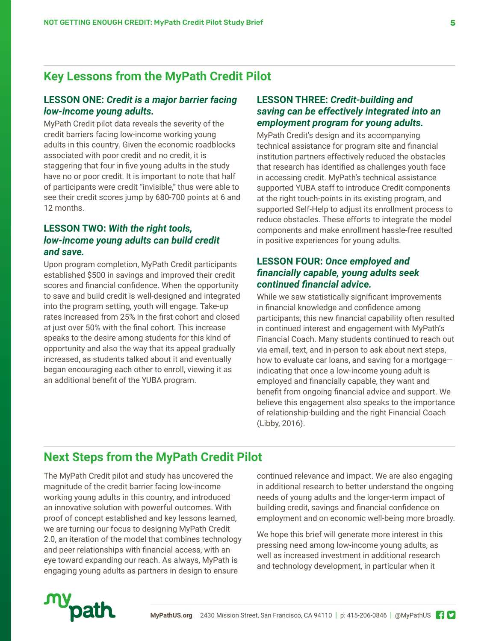## **Key Lessons from the MyPath Credit Pilot**

#### **LESSON ONE:** *Credit is a major barrier facing low-income young adults.*

MyPath Credit pilot data reveals the severity of the credit barriers facing low-income working young adults in this country. Given the economic roadblocks associated with poor credit and no credit, it is staggering that four in five young adults in the study have no or poor credit. It is important to note that half of participants were credit "invisible," thus were able to see their credit scores jump by 680-700 points at 6 and 12 months.

#### **LESSON TWO:** *With the right tools, low-income young adults can build credit and save.*

Upon program completion, MyPath Credit participants established \$500 in savings and improved their credit scores and financial confidence. When the opportunity to save and build credit is well-designed and integrated into the program setting, youth will engage. Take-up rates increased from 25% in the first cohort and closed at just over 50% with the final cohort. This increase speaks to the desire among students for this kind of opportunity and also the way that its appeal gradually increased, as students talked about it and eventually began encouraging each other to enroll, viewing it as an additional benefit of the YUBA program.

#### **LESSON THREE:** *Credit-building and saving can be effectively integrated into an employment program for young adults.*

MyPath Credit's design and its accompanying technical assistance for program site and financial institution partners effectively reduced the obstacles that research has identified as challenges youth face in accessing credit. MyPath's technical assistance supported YUBA staff to introduce Credit components at the right touch-points in its existing program, and supported Self-Help to adjust its enrollment process to reduce obstacles. These efforts to integrate the model components and make enrollment hassle-free resulted in positive experiences for young adults.

#### **LESSON FOUR:** *Once employed and financially capable, young adults seek continued financial advice.*

While we saw statistically significant improvements in financial knowledge and confidence among participants, this new financial capability often resulted in continued interest and engagement with MyPath's Financial Coach. Many students continued to reach out via email, text, and in-person to ask about next steps, how to evaluate car loans, and saving for a mortgage indicating that once a low-income young adult is employed and financially capable, they want and benefit from ongoing financial advice and support. We believe this engagement also speaks to the importance of relationship-building and the right Financial Coach (Libby, 2016).

## **Next Steps from the MyPath Credit Pilot**

The MyPath Credit pilot and study has uncovered the magnitude of the credit barrier facing low-income working young adults in this country, and introduced an innovative solution with powerful outcomes. With proof of concept established and key lessons learned, we are turning our focus to designing MyPath Credit 2.0, an iteration of the model that combines technology and peer relationships with financial access, with an eye toward expanding our reach. As always, MyPath is engaging young adults as partners in design to ensure

continued relevance and impact. We are also engaging in additional research to better understand the ongoing needs of young adults and the longer-term impact of building credit, savings and financial confidence on employment and on economic well-being more broadly.

We hope this brief will generate more interest in this pressing need among low-income young adults, as well as increased investment in additional research and technology development, in particular when it